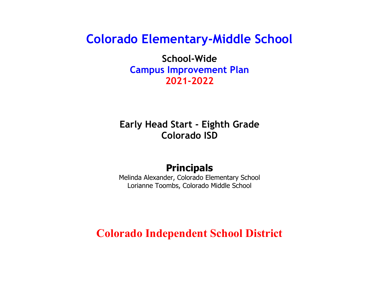# **Colorado Elementary-Middle School**

**School-Wide Campus Improvement Plan 2021-2022**

**Early Head Start - Eighth Grade Colorado ISD**

## **Principals**

Melinda Alexander, Colorado Elementary School Lorianne Toombs, Colorado Middle School

**Colorado Independent School District**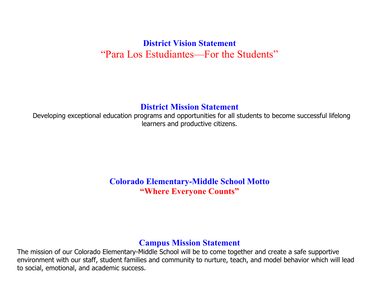## **District Vision Statement** "Para Los Estudiantes—For the Students"

### **District Mission Statement**

 Developing exceptional education programs and opportunities for all students to become successful lifelong learners and productive citizens.

### **Colorado Elementary-Middle School Motto "Where Everyone Counts"**

### **Campus Mission Statement**

The mission of our Colorado Elementary-Middle School will be to come together and create a safe supportive environment with our staff, student families and community to nurture, teach, and model behavior which will lead to social, emotional, and academic success.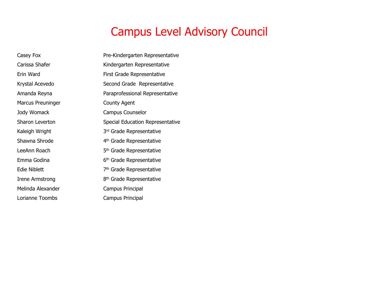# Campus Level Advisory Council

Casey Fox **Pre-Kindergarten Representative** Carissa Shafer Kindergarten Representative Erin Ward **First Grade Representative** Krystal Acevedo Second Grade Representative Amanda Reyna **Paraprofessional Representative** Marcus Preuninger **County Agent** Jody Womack Campus Counselor Sharon Leverton Special Education Representative Kaleigh Wright 3rd Grade Representative Shawna Shrode 4th Grade Representative LeeAnn Roach 5<sup>th</sup> Grade Representative Emma Godina **6th Grade Representative** Edie Niblett 7<sup>th</sup> Grade Representative Irene Armstrong 8<sup>th</sup> Grade Representative Melinda Alexander Campus Principal Lorianne Toombs Campus Principal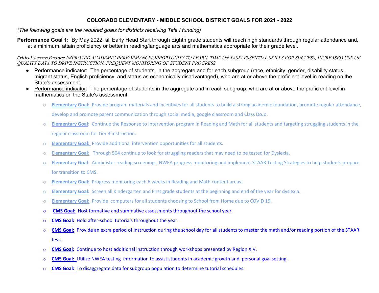#### **COLORADO ELEMENTARY - MIDDLE SCHOOL DISTRICT GOALS FOR 2021 - 2022**

*(The following goals are the required goals for districts receiving Title I funding)*

**Performance Goal 1:** By May 2022, all Early Head Start through Eighth grade students will reach high standards through regular attendance and, at a minimum, attain proficiency or better in reading/language arts and mathematics appropriate for their grade level.

*Critical Success Factors: IMPROVED ACADEMIC PERFORMANCE/OPPORTUNITY TO LEARN, TIME ON TASK/ ESSENTIAL SKILLS FOR SUCCESS, INCREASED USE OF QUALITY DATA TO DRIVE INSTRUCTION/ FREQUENT MONITORING OF STUDENT PROGRESS*

- Performance indicator: The percentage of students, in the aggregate and for each subgroup (race, ethnicity, gender, disability status, migrant status, English proficiency, and status as economically disadvantaged), who are at or above the proficient level in reading on the State's assessment,
- Performance indicator: The percentage of students in the aggregate and in each subgroup, who are at or above the proficient level in mathematics on the State's assessment.
	- o **Elementary Goal:** Provide program materials and incentives for all students to build a strong academic foundation, promote regular attendance,

develop and promote parent communication through social media, google classroom and Class DoJo.

- o **Elementary Goal**: Continue the Response to Intervention program in Reading and Math for all students and targeting struggling students in the regular classroom for Tier 3 instruction.
- o **Elementary Goal:** Provide additional intervention opportunities for all students.
- o El**ementary Goal**: Through 504 continue to look for struggling readers that may need to be tested for Dyslexia.
- o **Elementary Goal**: Administer reading screenings, NWEA progress monitoring and implement STAAR Testing Strategies to help students prepare for transition to CMS.
- o **Elementary Goal:** Progress monitoring each 6 weeks in Reading and Math content areas.
- o **Elementary Goal:** Screen all Kindergarten and First grade students at the beginning and end of the year for dyslexia.
- o **Elementary Goal:** Provide computers for all students choosing to School from Home due to COVID 19.
- o **CMS Goal:** Host formative and summative assessments throughout the school year.
- o **CMS Goal:** Hold after-school tutorials throughout the year.
- o **CMS Goal:** Provide an extra period of instruction during the school day for all students to master the math and/or reading portion of the STAAR test.
- o **CMS Goal:** Continue to host additional instruction through workshops presented by Region XIV.
- o **CMS Goal:** Utilize NWEA testing information to assist students in academic growth and personal goal setting.
- o **CMS Goal:** To disaggregate data for subgroup population to determine tutorial schedules.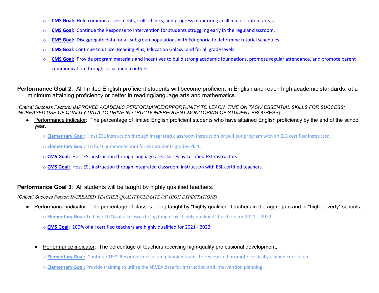- o **CMS Goal:** Hold common assessments, skills checks, and progress monitoring in all major content areas.
- o **CMS Goal:** Continue the Response to Intervention for students struggling early in the regular classroom.
- o **CMS Goal**: Disaggregate data for all subgroup populations with Eduphoria to determine tutorial schedules.
- o **CMS Goal**: Continue to utilize Reading Plus, Education Galaxy, and for all grade levels.
- o **CMS Goal:** Provide program materials and incentives to build strong academic foundations, promote regular attendance, and promote parent communication through social media outlets.

**Performance Goal 2**: All limited English proficient students will become proficient in English and reach high academic standards, at a minimum attaining proficiency or better in reading/language arts and mathematics.

*(Critical Success Factors: IMPROVED ACADEMIC PERFORMANCE/OPPORTUNITY TO LEARN, TIME ON TASK/ ESSENTIAL SKILLS FOR SUCCESS;*  INCREASED USE OF QUALITY DATA TO DRIVE INSTRUCTION/FREQUENT MONITORING OF STUDENT PROGRESS)

- Performance indicator: The percentage of limited English proficient students who have attained English proficiency by the end of the school year.
	- o **Elementary Goal:** Host ESL instruction through integrated classroom instruction or pull out program with an ELS certified instructor.
	- o **Elementary Goal:** To host Summer School for ESL students grades Pk-1.
	- o **CMS Goal:** Host ESL instruction through language arts classes by certified ESL instructors.
	- o **CMS Goal:** Host ESL instruction through integrated classroom instruction with ESL certified teachers.

**Performance Goal 3:** All students will be taught by highly qualified teachers.

*(Critical Success Factor: INCREASED TEACHER QUALITY/CLIMATE OF HIGH EXPECTATIONS)*

- Performance indicator: The percentage of classes being taught by "highly qualified" teachers in the aggregate and in "high-poverty" schools,
	- o **Elementary Goal:** To have 100% of all classes being taught by "highly qualified" teachers for 2021 2022.
	- o **CMS Goal**: 100% of all certified teachers are highly qualified for 2021 2022.
	- Performance indicator: The percentage of teachers receiving high-quality professional development,
		- o **Elementary Goal:** Continue TEKS Resource curriculum planning teams to review and promote vertically aligned curriculum.
		- o **Elementary Goal:** Provide training to utilize the NWEA data for instruction and intervention planning.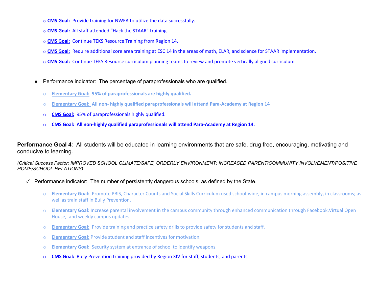- o **CMS Goal:** Provide training for NWEA to utilize the data successfully.
- o **CMS Goal:** All staff attended "Hack the STAAR" training.
- o **CMS Goal:** Continue TEKS Resource Training from Region 14.
- o **CMS Goal:** Require additional core area training at ESC 14 in the areas of math, ELAR, and science for STAAR implementation.
- o **CMS Goal:** Continue TEKS Resource curriculum planning teams to review and promote vertically aligned curriculum.
- Performance indicator: The percentage of paraprofessionals who are qualified.
	- o **Elementary Goal: 95% of paraprofessionals are highly qualified.**
	- o **Elementary Goal: All non- highly qualified paraprofessionals will attend Para-Academy at Region 14**
	- o **CMS Goal:** 95% of paraprofessionals highly qualified.
	- o **CMS Goal: All non-highly qualified paraprofessionals will attend Para-Academy at Region 14.**

**Performance Goal 4**: All students will be educated in learning environments that are safe, drug free, encouraging, motivating and conducive to learning.

*(Critical Success Factor: IMPROVED SCHOOL CLIMATE/SAFE, ORDERLY ENVIRONMENT; INCREASED PARENT/COMMUNITY INVOLVEMENT/POSITIVE HOME/SCHOOL RELATIONS)*

- Performance indicator: The number of persistently dangerous schools, as defined by the State.
	- o **Elementary Goal:** Promote PBIS, Character Counts and Social Skills Curriculum used school-wide, in campus morning assembly, in classrooms; as well as train staff in Bully Prevention.
	- o **Elementary Goal:** Increase parental involvement in the campus community through enhanced communication through Facebook,Virtual Open House, and weekly campus updates.
	- o **Elementary Goal:** Provide training and practice safety drills to provide safety for students and staff.
	- o **Elementary Goal:** Provide student and staff incentives for motivation.
	- o **Elementary Goal:** Security system at entrance of school to identify weapons.
	- o **CMS Goal:** Bully Prevention training provided by Region XIV for staff, students, and parents.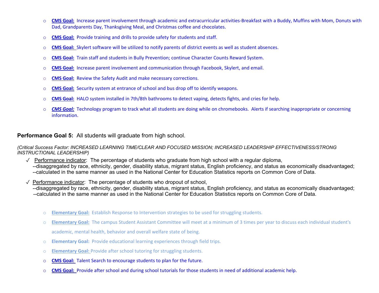- o **CMS Goal:** Increase parent involvement through academic and extracurricular activities-Breakfast with a Buddy, Muffins with Mom, Donuts with Dad, Grandparents Day, Thanksgiving Meal, and Christmas coffee and chocolates.
- o **CMS Goal:** Provide training and drills to provide safety for students and staff.
- o **CMS Goal:** Skylert software will be utilized to notify parents of district events as well as student absences.
- o **CMS Goal:** Train staff and students in Bully Prevention; continue Character Counts Reward System.
- o **CMS Goal:** Increase parent involvement and communication through Facebook, Skylert, and email.
- o **CMS Goal:** Review the Safety Audit and make necessary corrections.
- o **CMS Goal:** Security system at entrance of school and bus drop off to identify weapons.
- o **CMS Goal:** HALO system installed in 7th/8th bathrooms to detect vaping, detects fights, and cries for help.
- o *CMS Goal:* Technology program to track what all students are doing while on chromebooks. Alerts if searching inappropriate or concerning information.

#### **Performance Goal 5:** All students will graduate from high school.

*(Critical Success Factor: INCREASED LEARNING TIME/CLEAR AND FOCUSED MISSION; INCREASED LEADERSHIP EFFECTIVENESS/STRONG INSTRUCTIONAL LEADERSHIP)*

- $\sqrt{ }$  Performance indicator: The percentage of students who graduate from high school with a regular diploma, --disaggregated by race, ethnicity, gender, disability status, migrant status, English proficiency, and status as economically disadvantaged; --calculated in the same manner as used in the National Center for Education Statistics reports on Common Core of Data.
- ✓ Performance indicator: The percentage of students who dropout of school,

--disaggregated by race, ethnicity, gender, disability status, migrant status, English proficiency, and status as economically disadvantaged; --calculated in the same manner as used in the National Center for Education Statistics reports on Common Core of Data.

- o **Elementary Goal:** Establish Response to Intervention strategies to be used for struggling students.
- o **Elementary Goal:** The campus Student Assistant Committee will meet at a minimum of 3 times per year to discuss each individual student's academic, mental health, behavior and overall welfare state of being.
- o **Elementary Goal:** Provide educational learning experiences through field trips.
- o **Elementary Goal:** Provide after school tutoring for struggling students.
- o **CMS Goal:** Talent Search to encourage students to plan for the future.
- o **CMS Goal:** Provide after school and during school tutorials for those students in need of additional academic help.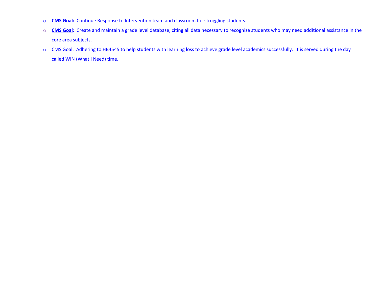- o **CMS Goal:** Continue Response to Intervention team and classroom for struggling students.
- o **CMS Goal**: Create and maintain a grade level database, citing all data necessary to recognize students who may need additional assistance in the core area subjects.
- o CMS Goal: Adhering to HB4545 to help students with learning loss to achieve grade level academics successfully. It is served during the day called WIN (What I Need) time.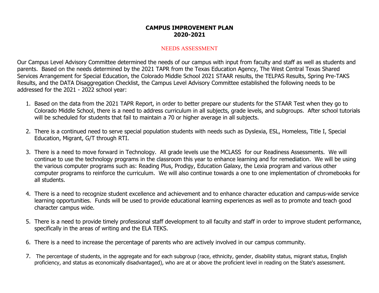#### **CAMPUS IMPROVEMENT PLAN 2020-2021**

#### NEEDS ASSESSMENT

Our Campus Level Advisory Committee determined the needs of our campus with input from faculty and staff as well as students and parents. Based on the needs determined by the 2021 TAPR from the Texas Education Agency, The West Central Texas Shared Services Arrangement for Special Education, the Colorado Middle School 2021 STAAR results, the TELPAS Results, Spring Pre-TAKS Results, and the DATA Disaggregation Checklist, the Campus Level Advisory Committee established the following needs to be addressed for the 2021 - 2022 school year:

- 1. Based on the data from the 2021 TAPR Report, in order to better prepare our students for the STAAR Test when they go to Colorado Middle School, there is a need to address curriculum in all subjects, grade levels, and subgroups. After school tutorials will be scheduled for students that fail to maintain a 70 or higher average in all subjects.
- 2. There is a continued need to serve special population students with needs such as Dyslexia, ESL, Homeless, Title I, Special Education, Migrant, G/T through RTI.
- 3. There is a need to move forward in Technology. All grade levels use the MCLASS for our Readiness Assessments. We will continue to use the technology programs in the classroom this year to enhance learning and for remediation. We will be using the various computer programs such as: Reading Plus, Prodigy, Education Galaxy, the Lexia program and various other computer programs to reinforce the curriculum. We will also continue towards a one to one implementation of chromebooks for all students.
- 4. There is a need to recognize student excellence and achievement and to enhance character education and campus-wide service learning opportunities. Funds will be used to provide educational learning experiences as well as to promote and teach good character campus wide.
- 5. There is a need to provide timely professional staff development to all faculty and staff in order to improve student performance, specifically in the areas of writing and the ELA TEKS.
- 6. There is a need to increase the percentage of parents who are actively involved in our campus community.
- 7. The percentage of students, in the aggregate and for each subgroup (race, ethnicity, gender, disability status, migrant status, English proficiency, and status as economically disadvantaged), who are at or above the proficient level in reading on the State's assessment.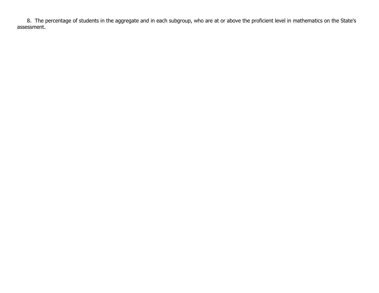8. The percentage of students in the aggregate and in each subgroup, who are at or above the proficient level in mathematics on the State's assessment.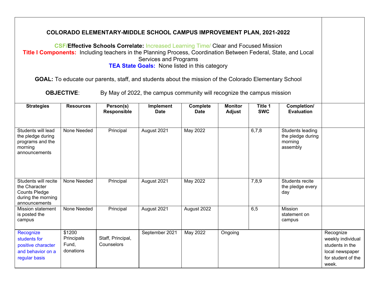#### **COLORADO ELEMENTARY-MIDDLE SCHOOL CAMPUS IMPROVEMENT PLAN, 2021-2022**

**CSF/Effective Schools Correlate:** Increased Learning Time/ Clear and Focused Mission **Title I Components:** Including teachers in the Planning Process, Coordination Between Federal, State, and Local Services and Programs **TEA State Goals:** None listed in this category

**GOAL:** To educate our parents, staff, and students about the mission of the Colorado Elementary School

**OBJECTIVE:** By May of 2022, the campus community will recognize the campus mission

| <b>Strategies</b>                                                                                    | <b>Resources</b>                           | Person(s)<br><b>Responsible</b> | Implement<br><b>Date</b> | Complete<br><b>Date</b> | <b>Monitor</b><br><b>Adjust</b> | Title 1<br><b>SWC</b> | Completion/<br><b>Evaluation</b>                             |                                                                                                     |
|------------------------------------------------------------------------------------------------------|--------------------------------------------|---------------------------------|--------------------------|-------------------------|---------------------------------|-----------------------|--------------------------------------------------------------|-----------------------------------------------------------------------------------------------------|
| Students will lead<br>the pledge during<br>programs and the<br>morning<br>announcements              | None Needed                                | Principal                       | August 2021              | <b>May 2022</b>         |                                 | 6,7,8                 | Students leading<br>the pledge during<br>morning<br>assembly |                                                                                                     |
| Students will recite<br>the Character<br><b>Counts Pledge</b><br>during the morning<br>announcements | None Needed                                | Principal                       | August 2021              | May 2022                |                                 | 7,8,9                 | Students recite<br>the pledge every<br>day                   |                                                                                                     |
| <b>Mission statement</b><br>is posted the<br>campus                                                  | None Needed                                | Principal                       | August 2021              | August 2022             |                                 | 6,5                   | <b>Mission</b><br>statement on<br>campus                     |                                                                                                     |
| Recognize<br>students for<br>positive character<br>and behavior on a<br>regular basis                | \$1200<br>Principals<br>Fund,<br>donations | Staff, Principal,<br>Counselors | September 2021           | May 2022                | Ongoing                         |                       |                                                              | Recognize<br>weekly individual<br>students in the<br>local newspaper<br>for student of the<br>week. |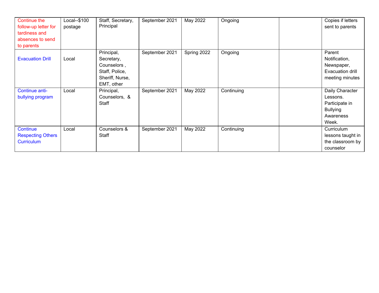| <b>Continue the</b><br>follow-up letter for<br>tardiness and<br>absences to send<br>to parents | Local--\$100<br>postage | Staff, Secretary,<br>Principal                                                             | September 2021 | May 2022    | Ongoing    | Copies if letters<br>sent to parents                                                   |
|------------------------------------------------------------------------------------------------|-------------------------|--------------------------------------------------------------------------------------------|----------------|-------------|------------|----------------------------------------------------------------------------------------|
| <b>Evacuation Drill</b>                                                                        | Local                   | Principal,<br>Secretary,<br>Counselors,<br>Staff, Police,<br>Sheriff, Nurse,<br>EMT, other | September 2021 | Spring 2022 | Ongoing    | Parent<br>Notification,<br>Newspaper,<br>Evacuation drill<br>meeting minutes           |
| Continue anti-<br>bullying program                                                             | Local                   | Principal,<br>Counselors, &<br>Staff                                                       | September 2021 | May 2022    | Continuing | Daily Character<br>Lessons.<br>Participate in<br><b>Bullying</b><br>Awareness<br>Week. |
| Continue<br><b>Respecting Others</b><br><b>Curriculum</b>                                      | Local                   | Counselors &<br>Staff                                                                      | September 2021 | May 2022    | Continuing | Curriculum<br>lessons taught in<br>the classroom by<br>counselor                       |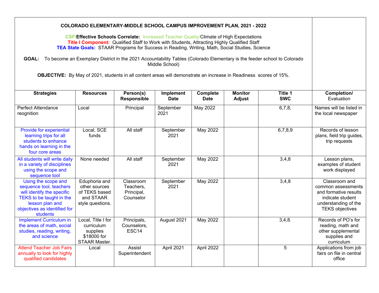| <b>COLORADO ELEMENTARY-MIDDLE SCHOOL CAMPUS IMPROVEMENT PLAN, 2021 - 2022</b>                                                                                                                                                                                                                   |                                                                                                                                                                 |                                                   |                   |            |  |         |                                                                                                                                    |  |  |  |
|-------------------------------------------------------------------------------------------------------------------------------------------------------------------------------------------------------------------------------------------------------------------------------------------------|-----------------------------------------------------------------------------------------------------------------------------------------------------------------|---------------------------------------------------|-------------------|------------|--|---------|------------------------------------------------------------------------------------------------------------------------------------|--|--|--|
| <b>CSF/Effective Schools Correlate:</b> Increased Teacher Quality/Climate of High Expectations<br>Title I Component: Qualified Staff to Work with Students, Attracting Highly Qualified Staff<br>TEA State Goals: STAAR Programs for Success in Reading, Writing, Math, Social Studies, Science |                                                                                                                                                                 |                                                   |                   |            |  |         |                                                                                                                                    |  |  |  |
| GOAL: To become an Exemplary District in the 2021 Accountability Tables (Colorado Elementary is the feeder school to Colorado<br>OBJECTIVE: By May of 2021, students in all content areas will demonstrate an increase in Readiness scores of 15%.                                              |                                                                                                                                                                 |                                                   |                   |            |  |         |                                                                                                                                    |  |  |  |
| <b>Strategies</b>                                                                                                                                                                                                                                                                               | Title 1<br>Person(s)<br><b>Monitor</b><br><b>Resources</b><br>Implement<br>Complete<br><b>SWC</b><br>Adjust<br><b>Responsible</b><br><b>Date</b><br><b>Date</b> |                                                   |                   |            |  |         |                                                                                                                                    |  |  |  |
| <b>Perfect Attendance</b><br>reognition                                                                                                                                                                                                                                                         | Local                                                                                                                                                           | Principal                                         | September<br>2021 | May 2022   |  | 6,7,8,  | Names will be listed in<br>the local newspaper                                                                                     |  |  |  |
| Provide for experiential<br>learning trips for all<br>students to enhance<br>hands on learning in the<br>four core areas                                                                                                                                                                        | Local, SCE<br>funds                                                                                                                                             | All staff                                         | September<br>2021 | May 2022   |  | 6,7,8,9 | Records of lesson<br>plans, field trip guides,<br>trip requests                                                                    |  |  |  |
| All students will write daily<br>in a variety of disciplines<br>using the scope and<br>sequence tool                                                                                                                                                                                            | None needed                                                                                                                                                     | All staff                                         | September<br>2021 | May 2022   |  | 3,4,8   | Lesson plans,<br>examples of student<br>work displayed                                                                             |  |  |  |
| Using the scope and<br>sequence tool, teachers<br>will identify the specific<br>TEKS to be taught in the<br>lesson plan and<br>objectives as identified for<br><b>students</b>                                                                                                                  | Eduphoria and<br>other sources<br>of TEKS based<br>and STAAR<br>style questions.                                                                                | Classroom<br>Teachers,<br>Principal,<br>Counselor | September<br>2021 | May 2022   |  | 3,4,8   | Classroom and<br>common assessments<br>and formative results<br>indicate student<br>understanding of the<br><b>TEKS objectives</b> |  |  |  |
| <b>Implement Curriculum in</b><br>the areas of math, social<br>studies, reading, writing,<br>and science                                                                                                                                                                                        | Local, Title I for<br>curriculum<br>supplies<br>\$18000 for<br>STAAR Master.                                                                                    | Principals,<br>Counselors,<br>ESC <sub>14</sub>   | August 2021       | May 2022   |  | 3,4,8.  | Records of PO's for<br>reading, math and<br>other supplemental<br>supplies and<br>curriculum                                       |  |  |  |
| <b>Attend Teacher Job Fairs</b><br>annually to look for highly<br>qualified candidates                                                                                                                                                                                                          | Local                                                                                                                                                           | Assist<br>Superintendent                          | April 2021        | April 2022 |  | 5       | Applications from job<br>fairs on file in central<br>office                                                                        |  |  |  |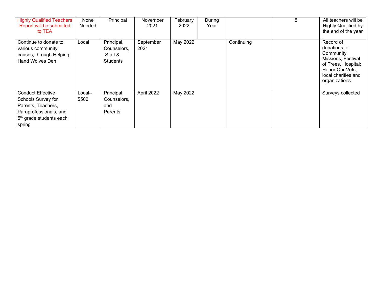| <b>Highly Qualified Teachers</b><br>Report will be submitted<br>to TEA                                                                          | None<br>Needed   | Principal                                               | November<br>2021  | February<br>2022 | During<br>Year |            | 5 | All teachers will be<br><b>Highly Qualified by</b><br>the end of the year                                                                      |
|-------------------------------------------------------------------------------------------------------------------------------------------------|------------------|---------------------------------------------------------|-------------------|------------------|----------------|------------|---|------------------------------------------------------------------------------------------------------------------------------------------------|
| Continue to donate to<br>various community<br>causes, through Helping<br>Hand Wolves Den                                                        | Local            | Principal,<br>Counselors,<br>Staff &<br><b>Students</b> | September<br>2021 | May 2022         |                | Continuing |   | Record of<br>donations to<br>Community<br>Missions, Festival<br>of Trees, Hospital;<br>Honor Our Vets,<br>local charities and<br>organizations |
| <b>Conduct Effective</b><br>Schools Survey for<br>Parents, Teachers,<br>Paraprofessionals, and<br>5 <sup>th</sup> grade students each<br>spring | Local--<br>\$500 | Principal,<br>Counselors,<br>and<br>Parents             | April 2022        | May 2022         |                |            |   | Surveys collected                                                                                                                              |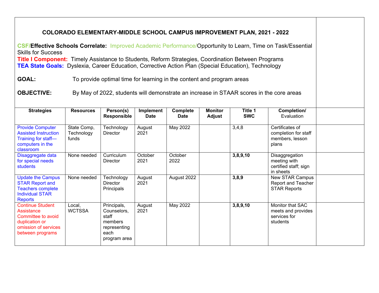#### **COLORADO ELEMENTARY-MIDDLE SCHOOL CAMPUS IMPROVEMENT PLAN, 2021 - 2022**

**CSF/Effective Schools Correlate:** Improved Academic Performance/Opportunity to Learn, Time on Task/Essential Skills for Success **Title I Component:** Timely Assistance to Students, Reform Strategies, Coordination Between Programs **TEA State Goals:** Dyslexia, Career Education, Corrective Action Plan (Special Education), Technology

**GOAL:** To provide optimal time for learning in the content and program areas

**OBJECTIVE:** By May of 2022, students will demonstrate an increase in STAAR scores in the core areas

| <b>Strategies</b>                                                                                                          | <b>Resources</b>                   | Person(s)<br>Responsible                                                               | Implement<br><b>Date</b> | Complete<br><b>Date</b> | <b>Monitor</b><br><b>Adjust</b> | Title 1<br><b>SWC</b> | Completion/<br>Evaluation                                            |  |
|----------------------------------------------------------------------------------------------------------------------------|------------------------------------|----------------------------------------------------------------------------------------|--------------------------|-------------------------|---------------------------------|-----------------------|----------------------------------------------------------------------|--|
| <b>Provide Computer</b><br><b>Assisted Instruction</b><br>Training for staff-<br>computers in the<br>classroom             | State Comp,<br>Technology<br>funds | Technology<br><b>Director</b>                                                          | August<br>2021           | May 2022                |                                 | 3,4,8                 | Certificates of<br>completion for staff<br>members, lesson<br>plans  |  |
| Disaggregate data<br>for special needs<br><b>students</b>                                                                  | None needed                        | Curriculum<br><b>Director</b>                                                          | October<br>2021          | October<br>2022         |                                 | 3,8,9,10              | Disaggregation<br>meeting with<br>certified staff; sign<br>in sheets |  |
| <b>Update the Campus</b><br><b>STAR Report and</b><br><b>Teachers complete</b><br><b>Individual STAR</b><br><b>Reports</b> | None needed                        | Technology<br><b>Director</b><br>Principals                                            | August<br>2021           | August 2022             |                                 | 3,8,9                 | New STAR Campus<br>Report and Teacher<br><b>STAR Reports</b>         |  |
| <b>Continue Student</b><br>Assistance<br>Committee to avoid<br>duplication or<br>omission of services<br>between programs  | Local,<br><b>WCTSSA</b>            | Principals,<br>Counselors,<br>staff<br>members<br>representing<br>each<br>program area | August<br>2021           | May 2022                |                                 | 3,8,9,10              | Monitor that SAC<br>meets and provides<br>services for<br>students   |  |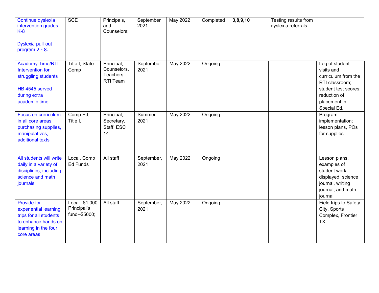| Continue dyslexia<br>intervention grades<br>$K-8$<br>Dyslexia pull-out<br>program $2 - 8$ .                                        | <b>SCE</b>                                     | Principals,<br>and<br>Counselors;                  | September<br>2021  | May 2022        | Completed | 3,8,9,10 | Testing results from<br>dyslexia referrals |                                                                                                                                              |
|------------------------------------------------------------------------------------------------------------------------------------|------------------------------------------------|----------------------------------------------------|--------------------|-----------------|-----------|----------|--------------------------------------------|----------------------------------------------------------------------------------------------------------------------------------------------|
| <b>Academy Time/RTI</b><br>Intervention for<br>struggling students<br>HB 4545 served<br>during extra<br>academic time.             | Title I; State<br>Comp                         | Principal,<br>Counselors,<br>Teachers;<br>RTI Team | September<br>2021  | May 2022        | Ongoing   |          |                                            | Log of student<br>visits and<br>curriculum from the<br>RTI classroom;<br>student test scores;<br>reduction of<br>placement in<br>Special Ed. |
| <b>Focus on curriculum</b><br>in all core areas,<br>purchasing supplies,<br>manipulatives,<br>additional texts                     | Comp Ed,<br>Title I,                           | Principal,<br>Secretary,<br>Staff, ESC<br>14       | Summer<br>2021     | <b>May 2022</b> | Ongoing   |          |                                            | Program<br>implementation;<br>lesson plans, POs<br>for supplies                                                                              |
| All students will write<br>daily in a variety of<br>disciplines, including<br>science and math<br>journals                         | Local, Comp<br>Ed Funds                        | All staff                                          | September,<br>2021 | May 2022        | Ongoing   |          |                                            | Lesson plans,<br>examples of<br>student work<br>displayed, science<br>journal, writing<br>journal, and math<br>journal                       |
| <b>Provide for</b><br>experiential learning<br>trips for all students<br>to enhance hands on<br>learning in the four<br>core areas | Local--\$1,000<br>Principal's<br>fund--\$5000; | All staff                                          | September,<br>2021 | May 2022        | Ongoing   |          |                                            | Field trips to Safety<br>City, Sports<br>Complex, Frontier<br><b>TX</b>                                                                      |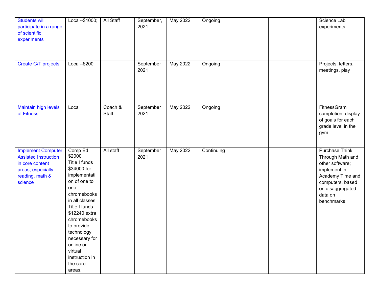| <b>Students will</b><br>participate in a range<br>of scientific<br>experiments                                                 | Local--\$1000;                                                                                                                                                                                                                                                                          | All Staff        | September,<br>2021 | May 2022 | Ongoing    | Science Lab<br>experiments                                                                                                                                        |
|--------------------------------------------------------------------------------------------------------------------------------|-----------------------------------------------------------------------------------------------------------------------------------------------------------------------------------------------------------------------------------------------------------------------------------------|------------------|--------------------|----------|------------|-------------------------------------------------------------------------------------------------------------------------------------------------------------------|
| Create G/T projects                                                                                                            | Local--\$200                                                                                                                                                                                                                                                                            |                  | September<br>2021  | May 2022 | Ongoing    | Projects, letters,<br>meetings, play                                                                                                                              |
| <b>Maintain high levels</b><br>of Fitness                                                                                      | Local                                                                                                                                                                                                                                                                                   | Coach &<br>Staff | September<br>2021  | May 2022 | Ongoing    | FitnessGram<br>completion, display<br>of goals for each<br>grade level in the<br>gym                                                                              |
| <b>Implement Computer</b><br><b>Assisted Instruction</b><br>in core content<br>areas, especially<br>reading, math &<br>science | Comp Ed<br>\$2000<br>Title I funds<br>\$34000 for<br>implementati<br>on of one to<br>one<br>chromebooks<br>in all classes<br>Title I funds<br>\$12240 extra<br>chromebooks<br>to provide<br>technology<br>necessary for<br>online or<br>virtual<br>instruction in<br>the core<br>areas. | All staff        | September<br>2021  | May 2022 | Continuing | <b>Purchase Think</b><br>Through Math and<br>other software;<br>implement in<br>Academy Time and<br>computers, based<br>on disaggregated<br>data on<br>benchmarks |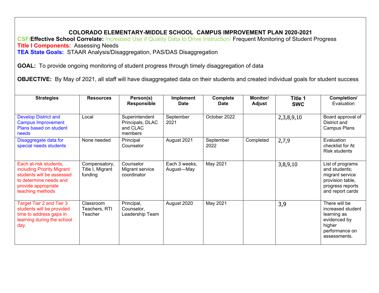#### **COLORADO ELEMENTARY-MIDDLE SCHOOL CAMPUS IMPROVEMENT PLAN 2020-2021**

**CSF/Effective School Correlate:** Increased Use if Quality Data to Drive Instruction/ Frequent Monitoring of Student Progress **Title I Components: Assessing Needs** 

**TEA State Goals:** STAAR Analysis/Disaggregation, PAS/DAS Disaggregation

**GOAL:** To provide ongoing monitoring of student progress through timely disaggregation of data

**OBJECTIVE:** By May of 2021, all staff will have disaggregated data on their students and created individual goals for student success

| <b>Strategies</b>                                                                                                                                      | <b>Resources</b>                             | Person(s)<br><b>Responsible</b>                           | Implement<br><b>Date</b>    | Complete<br><b>Date</b> | <b>Monitor/</b><br><b>Adjust</b> | Title 1<br><b>SWC</b> | Completion/<br>Evaluation                                                                                        |
|--------------------------------------------------------------------------------------------------------------------------------------------------------|----------------------------------------------|-----------------------------------------------------------|-----------------------------|-------------------------|----------------------------------|-----------------------|------------------------------------------------------------------------------------------------------------------|
| <b>Develop District and</b><br><b>Campus Improvement</b><br>Plans based on student<br>needs                                                            | Local                                        | Superintendent<br>Principals, DLAC<br>and CLAC<br>members | September<br>2021           | October 2022            |                                  | 2,3,8,9,10            | Board approval of<br>District and<br>Campus Plans                                                                |
| Disaggregate data for<br>special needs students                                                                                                        | None needed                                  | Principal<br>Counselor                                    | August 2021                 | September<br>2022       | Completed                        | 2,7,9                 | Evaluation<br>checklist for At<br>Risk students                                                                  |
| Each at-risk students,<br>including Priority Migrant<br>students will be assessed<br>to determine needs and<br>provide appropriate<br>teaching methods | Compensatory,<br>Title I, Migrant<br>funding | Counselor<br>Migrant service<br>coordinator               | Each 3 weeks,<br>August-May | May 2021                |                                  | 3,8,9,10              | List of programs<br>and students;<br>migrant service<br>provision table,<br>progress reports<br>and report cards |
| Target Tier 2 and Tier 3<br>students will be provided<br>time to address gaps in<br>learning during the school<br>day.                                 | Classroom<br>Teachers, RTI<br>Teacher        | Principal,<br>Counselor,<br>Leadership Team               | August 2020                 | May 2021                |                                  | 3,9                   | There will be<br>increased student<br>learning as<br>evidenced by<br>higher<br>performance on<br>assessments.    |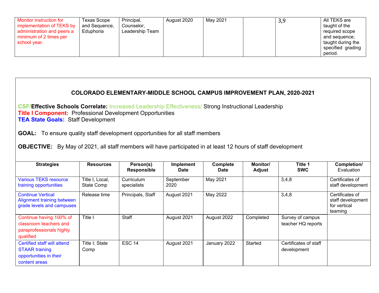| COLORADO ELEMENTARY-MIDDLE SCHOOL CAMPUS IMPROVEMENT PLAN, 2020-2021                                                                                                                                                         |                               |                           |                                 |                         |                    |                                        |                                                                 |  |  |  |  |
|------------------------------------------------------------------------------------------------------------------------------------------------------------------------------------------------------------------------------|-------------------------------|---------------------------|---------------------------------|-------------------------|--------------------|----------------------------------------|-----------------------------------------------------------------|--|--|--|--|
| <b>CSF/Effective Schools Correlate: Increased Leadership Effectiveness/ Strong Instructional Leadership</b><br><b>Title I Component: Professional Development Opportunities</b><br><b>TEA State Goals: Staff Development</b> |                               |                           |                                 |                         |                    |                                        |                                                                 |  |  |  |  |
| <b>GOAL:</b> To ensure quality staff development opportunities for all staff members                                                                                                                                         |                               |                           |                                 |                         |                    |                                        |                                                                 |  |  |  |  |
| <b>OBJECTIVE:</b> By May of 2021, all staff members will have participated in at least 12 hours of staff development                                                                                                         |                               |                           |                                 |                         |                    |                                        |                                                                 |  |  |  |  |
| <b>Strategies</b>                                                                                                                                                                                                            | <b>Resources</b>              | Person(s)<br>Responsible  | <b>Implement</b><br><b>Date</b> | Complete<br><b>Date</b> | Monitor/<br>Adjust | Title 1<br><b>SWC</b>                  | Completion/<br>Evaluation                                       |  |  |  |  |
| <b>Various TEKS resource</b><br>training opportunities                                                                                                                                                                       | Title I, Local,<br>State Comp | Curriculum<br>specialists | September<br>2020               | May 2021                |                    | 3,4,8                                  | Certificates of<br>staff development                            |  |  |  |  |
| <b>Continue Vertical</b><br>Alignment training between<br>grade levels and campuses                                                                                                                                          | Release time                  | Principals, Staff         | August 2021                     | May 2022                |                    | 3,4,8                                  | Certificates of<br>staff development<br>for vertical<br>teaming |  |  |  |  |
| Continue having 100% of<br>classroom teachers and<br>paraprofessionals highly<br>qualified                                                                                                                                   | Title I                       | <b>Staff</b>              | August 2021                     | August 2022             | Completed          | Survey of campus<br>teacher HQ reports |                                                                 |  |  |  |  |
| Certified staff will attend<br><b>STAAR training</b><br>opportunities in their<br>content areas                                                                                                                              | Title I: State<br>Comp        | <b>ESC 14</b>             | August 2021                     | January 2022            | <b>Started</b>     | Certificates of staff<br>development   |                                                                 |  |  |  |  |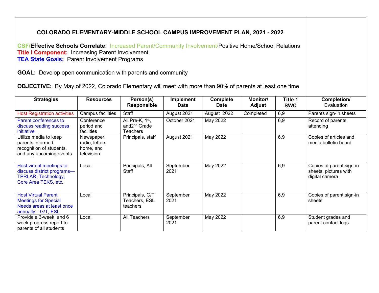| <b>COLORADO ELEMENTARY-MIDDLE SCHOOL CAMPUS IMPROVEMENT PLAN, 2021 - 2022</b><br><b>CSF/Effective Schools Correlate: Increased Parent/Community Involvement/Positive Home/School Relations</b><br><b>Title I Component: Increasing Parent Involvement</b><br><b>TEA State Goals: Parent Involvement Programs</b><br><b>GOAL:</b> Develop open communication with parents and community |                                                         |                                                                |                          |                                |                           |                       |                                                                     |
|----------------------------------------------------------------------------------------------------------------------------------------------------------------------------------------------------------------------------------------------------------------------------------------------------------------------------------------------------------------------------------------|---------------------------------------------------------|----------------------------------------------------------------|--------------------------|--------------------------------|---------------------------|-----------------------|---------------------------------------------------------------------|
| <b>OBJECTIVE:</b> By May of 2022, Colorado Elementary will meet with more than 90% of parents at least one time                                                                                                                                                                                                                                                                        |                                                         |                                                                |                          |                                |                           |                       |                                                                     |
| <b>Strategies</b>                                                                                                                                                                                                                                                                                                                                                                      | <b>Resources</b>                                        | Person(s)<br><b>Responsible</b>                                | Implement<br><b>Date</b> | <b>Complete</b><br><b>Date</b> | <b>Monitor/</b><br>Adjust | Title 1<br><b>SWC</b> | Completion/<br>Evaluation                                           |
| <b>Host Registration activities</b>                                                                                                                                                                                                                                                                                                                                                    | Campus facilities                                       | Staff                                                          | August 2021              | August 2022                    | Completed                 | 6,9                   | Parents sign-in sheets                                              |
| Parent conferences to<br>discuss reading success<br>initiative                                                                                                                                                                                                                                                                                                                         | Conference<br>period and<br>facilities                  | All Pre-K, 1st,<br>and2 <sup>nd</sup> Grade<br><b>Teachers</b> | October 2021             | May 2022                       |                           | 6,9                   | Record of parents<br>attending                                      |
| Utilize media to keep<br>parents informed,<br>recognition of students,<br>and any upcoming events                                                                                                                                                                                                                                                                                      | Newspaper,<br>radio, letters<br>home, and<br>television | Principals, staff                                              | August 2021              | May 2022                       |                           | 6,9                   | Copies of articles and<br>media bulletin board                      |
| Host virtual meetings to<br>discuss district programs-<br>TPRI, AR, Technology,<br>Core Area TEKS, etc.                                                                                                                                                                                                                                                                                | Local                                                   | Principals, All<br>Staff                                       | September<br>2021        | May 2022                       |                           | 6,9                   | Copies of parent sign-in<br>sheets, pictures with<br>digital camera |
| <b>Host Virtual Parent</b><br><b>Meetings for Special</b><br>Needs areas at least once<br>annually-G/T, ESL                                                                                                                                                                                                                                                                            | Local                                                   | Principals, G/T<br>Teachers, ESL<br>teachers                   | September<br>2021        | May 2022                       |                           | 6,9                   | Copies of parent sign-in<br>sheets                                  |
| Provide a 3-week and 6<br>week progress report to<br>parents of all students                                                                                                                                                                                                                                                                                                           | Local                                                   | All Teachers                                                   | September<br>2021        | May 2022                       |                           | 6,9                   | Student grades and<br>parent contact logs                           |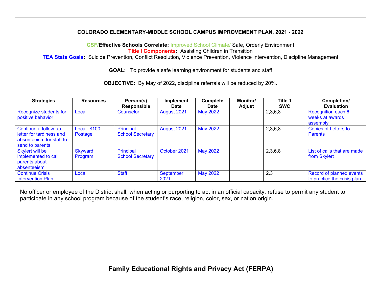#### **COLORADO ELEMENTARY-MIDDLE SCHOOL CAMPUS IMPROVEMENT PLAN, 2021 - 2022**

**CSF/Effective Schools Correlate:** Improved School Climate/ Safe, Orderly Environment **Title I Components:** Assisting Children in Transition

**TEA State Goals:** Suicide Prevention, Conflict Resolution, Violence Prevention, Violence Intervention, Discipline Management

**GOAL:** To provide a safe learning environment for students and staff

**OBJECTIVE:** By May of 2022, discipline referrals will be reduced by 20%.

| <b>Strategies</b>                                                                               | <b>Resources</b>          | Person(s)<br>Responsible             | <b>Implement</b><br><b>Date</b> | Complete<br><b>Date</b> | <b>Monitor/</b><br>Adjust | Title 1<br><b>SWC</b> | Completion/<br><b>Evaluation</b>                        |
|-------------------------------------------------------------------------------------------------|---------------------------|--------------------------------------|---------------------------------|-------------------------|---------------------------|-----------------------|---------------------------------------------------------|
| Recognize students for<br>positive behavior                                                     | Local                     | Counselor                            | August 2021                     | May 2022                |                           | 2,3,6,8               | Recognition each 6<br>weeks at awards<br>assembly       |
| Continue a follow-up<br>letter for tardiness and<br>absenteeism for staff to<br>send to parents | Local--\$100<br>Postage   | Principal<br><b>School Secretary</b> | August 2021                     | May 2022                |                           | 2,3,6,8               | <b>Copies of Letters to</b><br><b>Parents</b>           |
| Skylert will be<br>implemented to call<br>parents about<br>absenteeism                          | <b>Skyward</b><br>Program | Principal<br><b>School Secretary</b> | October 2021                    | <b>May 2022</b>         |                           | 2,3,6,8               | List of calls that are made<br>from Skylert             |
| <b>Continue Crisis</b><br><b>Intervention Plan</b>                                              | Local                     | <b>Staff</b>                         | September<br>2021               | May 2022                |                           | 2,3                   | Record of planned events<br>to practice the crisis plan |

No officer or employee of the District shall, when acting or purporting to act in an official capacity, refuse to permit any student to participate in any school program because of the student's race, religion, color, sex, or nation origin.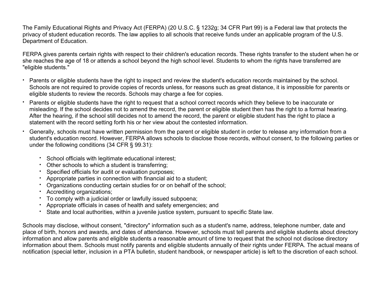The Family Educational Rights and Privacy Act (FERPA) (20 U.S.C. § 1232g; 34 CFR Part 99) is a Federal law that protects the privacy of student education records. The law applies to all schools that receive funds under an applicable program of the U.S. Department of Education.

FERPA gives parents certain rights with respect to their children's education records. These rights transfer to the student when he or she reaches the age of 18 or attends a school beyond the high school level. Students to whom the rights have transferred are "eligible students."

- Parents or eligible students have the right to inspect and review the student's education records maintained by the school. Schools are not required to provide copies of records unless, for reasons such as great distance, it is impossible for parents or eligible students to review the records. Schools may charge a fee for copies.
- Parents or eligible students have the right to request that a school correct records which they believe to be inaccurate or misleading. If the school decides not to amend the record, the parent or eligible student then has the right to a formal hearing. After the hearing, if the school still decides not to amend the record, the parent or eligible student has the right to place a statement with the record setting forth his or her view about the contested information.
- Generally, schools must have written permission from the parent or eligible student in order to release any information from a student's education record. However, FERPA allows schools to disclose those records, without consent, to the following parties or under the following conditions (34 CFR § 99.31):
	- School officials with legitimate educational interest;
	- Other schools to which a student is transferring;
	- Specified officials for audit or evaluation purposes;
	- Appropriate parties in connection with financial aid to a student;
	- Organizations conducting certain studies for or on behalf of the school;
	- Accrediting organizations;
	- To comply with a judicial order or lawfully issued subpoena;
	- Appropriate officials in cases of health and safety emergencies; and
	- State and local authorities, within a juvenile justice system, pursuant to specific State law.

Schools may disclose, without consent, "directory" information such as a student's name, address, telephone number, date and place of birth, honors and awards, and dates of attendance. However, schools must tell parents and eligible students about directory information and allow parents and eligible students a reasonable amount of time to request that the school not disclose directory information about them. Schools must notify parents and eligible students annually of their rights under FERPA. The actual means of notification (special letter, inclusion in a PTA bulletin, student handbook, or newspaper article) is left to the discretion of each school.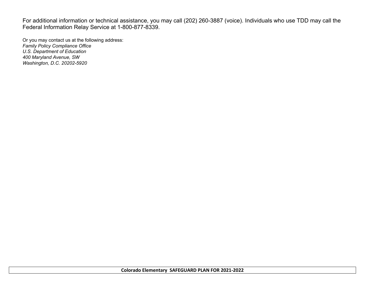For additional information or technical assistance, you may call (202) 260-3887 (voice). Individuals who use TDD may call the Federal Information Relay Service at 1-800-877-8339.

Or you may contact us at the following address: *Family Policy Compliance Office U.S. Department of Education 400 Maryland Avenue, SW Washington, D.C. 20202-5920*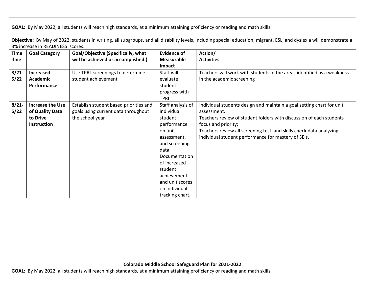**GOAL:** By May 2022, all students will reach high standards, at a minimum attaining proficiency or reading and math skills.

**Objective:** By May of 2022, students in writing, all subgroups, and all disability levels, including special education, migrant, ESL, and dyslexia will demonstrate a 3% increase in READINESS scores.

| <b>Time</b> | <b>Goal Category</b>    | Goal/Objective (Specifically, what     | <b>Evidence of</b> | Action/                                                                |
|-------------|-------------------------|----------------------------------------|--------------------|------------------------------------------------------------------------|
| -line       |                         | will be achieved or accomplished.)     | <b>Measurable</b>  | <b>Activities</b>                                                      |
|             |                         |                                        | Impact             |                                                                        |
| $8/21 -$    | <b>Increased</b>        | Use TPRI screenings to determine       | Staff will         | Teachers will work with students in the areas identified as a weakness |
| 5/22        | <b>Academic</b>         | student achievement                    | evaluate           | in the academic screening                                              |
|             | Performance             |                                        | student            |                                                                        |
|             |                         |                                        | progress with      |                                                                        |
|             |                         |                                        | <b>TPRI</b>        |                                                                        |
| $8/21 -$    | <b>Increase the Use</b> | Establish student based priorities and | Staff analysis of  | Individual students design and maintain a goal setting chart for unit  |
| 5/22        | of Quality Data         | goals using current data throughout    | individual         | assessment.                                                            |
|             | to Drive                | the school year                        | student            | Teachers review of student folders with discussion of each students    |
|             | <b>Instruction</b>      |                                        | performance        | focus and priority;                                                    |
|             |                         |                                        | on unit            | Teachers review all screening test and skills check data analyzing     |
|             |                         |                                        | assessment,        | individual student performance for mastery of SE's.                    |
|             |                         |                                        | and screening      |                                                                        |
|             |                         |                                        | data.              |                                                                        |
|             |                         |                                        | Documentation      |                                                                        |
|             |                         |                                        | of increased       |                                                                        |
|             |                         |                                        | student            |                                                                        |
|             |                         |                                        | achievement        |                                                                        |
|             |                         |                                        | and unit scores    |                                                                        |
|             |                         |                                        | on individual      |                                                                        |
|             |                         |                                        | tracking chart.    |                                                                        |